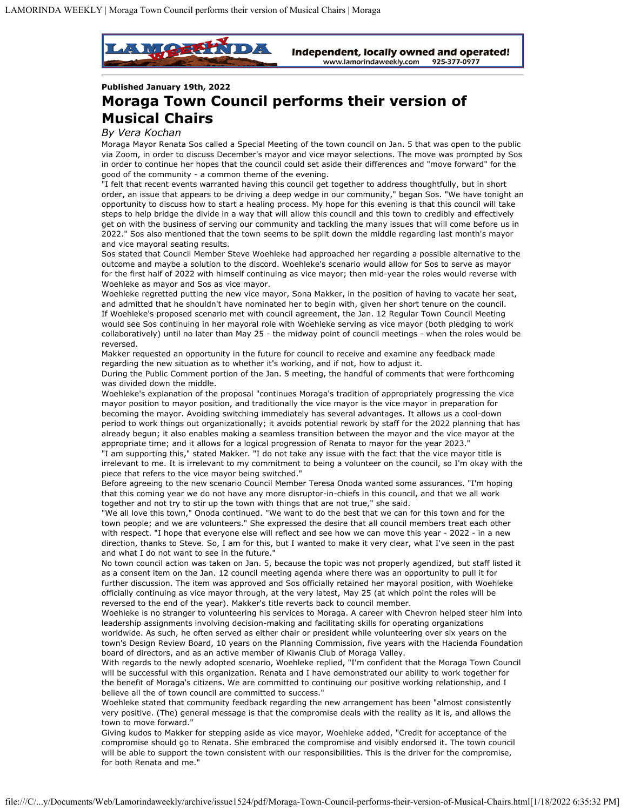

**Published January 19th, 2022**

## **Moraga Town Council performs their version of Musical Chairs**

## *By Vera Kochan*

Moraga Mayor Renata Sos called a Special Meeting of the town council on Jan. 5 that was open to the public via Zoom, in order to discuss December's mayor and vice mayor selections. The move was prompted by Sos in order to continue her hopes that the council could set aside their differences and "move forward" for the good of the community - a common theme of the evening.

"I felt that recent events warranted having this council get together to address thoughtfully, but in short order, an issue that appears to be driving a deep wedge in our community," began Sos. "We have tonight an opportunity to discuss how to start a healing process. My hope for this evening is that this council will take steps to help bridge the divide in a way that will allow this council and this town to credibly and effectively get on with the business of serving our community and tackling the many issues that will come before us in 2022." Sos also mentioned that the town seems to be split down the middle regarding last month's mayor and vice mayoral seating results.

Sos stated that Council Member Steve Woehleke had approached her regarding a possible alternative to the outcome and maybe a solution to the discord. Woehleke's scenario would allow for Sos to serve as mayor for the first half of 2022 with himself continuing as vice mayor; then mid-year the roles would reverse with Woehleke as mayor and Sos as vice mayor.

Woehleke regretted putting the new vice mayor, Sona Makker, in the position of having to vacate her seat, and admitted that he shouldn't have nominated her to begin with, given her short tenure on the council. If Woehleke's proposed scenario met with council agreement, the Jan. 12 Regular Town Council Meeting would see Sos continuing in her mayoral role with Woehleke serving as vice mayor (both pledging to work collaboratively) until no later than May 25 - the midway point of council meetings - when the roles would be reversed.

Makker requested an opportunity in the future for council to receive and examine any feedback made regarding the new situation as to whether it's working, and if not, how to adjust it.

During the Public Comment portion of the Jan. 5 meeting, the handful of comments that were forthcoming was divided down the middle.

Woehleke's explanation of the proposal "continues Moraga's tradition of appropriately progressing the vice mayor position to mayor position, and traditionally the vice mayor is the vice mayor in preparation for becoming the mayor. Avoiding switching immediately has several advantages. It allows us a cool-down period to work things out organizationally; it avoids potential rework by staff for the 2022 planning that has already begun; it also enables making a seamless transition between the mayor and the vice mayor at the appropriate time; and it allows for a logical progression of Renata to mayor for the year 2023."

"I am supporting this," stated Makker. "I do not take any issue with the fact that the vice mayor title is irrelevant to me. It is irrelevant to my commitment to being a volunteer on the council, so I'm okay with the piece that refers to the vice mayor being switched."

Before agreeing to the new scenario Council Member Teresa Onoda wanted some assurances. "I'm hoping that this coming year we do not have any more disruptor-in-chiefs in this council, and that we all work together and not try to stir up the town with things that are not true," she said.

"We all love this town," Onoda continued. "We want to do the best that we can for this town and for the town people; and we are volunteers." She expressed the desire that all council members treat each other with respect. "I hope that everyone else will reflect and see how we can move this year - 2022 - in a new direction, thanks to Steve. So, I am for this, but I wanted to make it very clear, what I've seen in the past and what I do not want to see in the future."

No town council action was taken on Jan. 5, because the topic was not properly agendized, but staff listed it as a consent item on the Jan. 12 council meeting agenda where there was an opportunity to pull it for further discussion. The item was approved and Sos officially retained her mayoral position, with Woehleke officially continuing as vice mayor through, at the very latest, May 25 (at which point the roles will be reversed to the end of the year). Makker's title reverts back to council member.

Woehleke is no stranger to volunteering his services to Moraga. A career with Chevron helped steer him into leadership assignments involving decision-making and facilitating skills for operating organizations worldwide. As such, he often served as either chair or president while volunteering over six years on the town's Design Review Board, 10 years on the Planning Commission, five years with the Hacienda Foundation board of directors, and as an active member of Kiwanis Club of Moraga Valley.

With regards to the newly adopted scenario, Woehleke replied, "I'm confident that the Moraga Town Council will be successful with this organization. Renata and I have demonstrated our ability to work together for the benefit of Moraga's citizens. We are committed to continuing our positive working relationship, and I believe all the of town council are committed to success."

Woehleke stated that community feedback regarding the new arrangement has been "almost consistently very positive. (The) general message is that the compromise deals with the reality as it is, and allows the town to move forward."

Giving kudos to Makker for stepping aside as vice mayor, Woehleke added, "Credit for acceptance of the compromise should go to Renata. She embraced the compromise and visibly endorsed it. The town council will be able to support the town consistent with our responsibilities. This is the driver for the compromise, for both Renata and me."